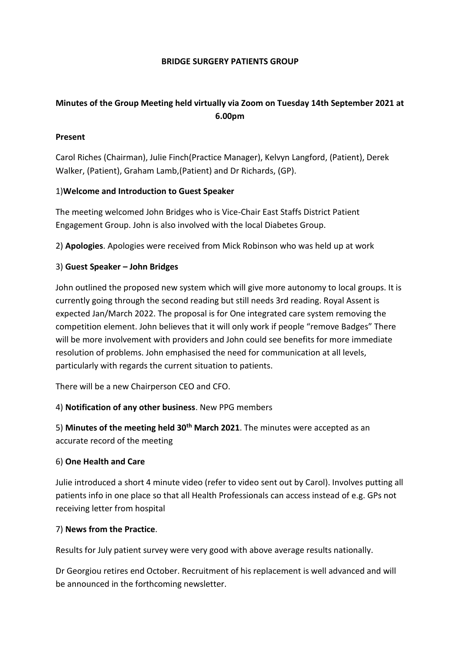### **BRIDGE SURGERY PATIENTS GROUP**

# **Minutes of the Group Meeting held virtually via Zoom on Tuesday 14th September 2021 at 6.00pm**

# **Present**

Carol Riches (Chairman), Julie Finch(Practice Manager), Kelvyn Langford, (Patient), Derek Walker, (Patient), Graham Lamb,(Patient) and Dr Richards, (GP).

### 1)**Welcome and Introduction to Guest Speaker**

The meeting welcomed John Bridges who is Vice-Chair East Staffs District Patient Engagement Group. John is also involved with the local Diabetes Group.

2) **Apologies**. Apologies were received from Mick Robinson who was held up at work

### 3) **Guest Speaker – John Bridges**

John outlined the proposed new system which will give more autonomy to local groups. It is currently going through the second reading but still needs 3rd reading. Royal Assent is expected Jan/March 2022. The proposal is for One integrated care system removing the competition element. John believes that it will only work if people "remove Badges" There will be more involvement with providers and John could see benefits for more immediate resolution of problems. John emphasised the need for communication at all levels, particularly with regards the current situation to patients.

There will be a new Chairperson CEO and CFO.

# 4) **Notification of any other business**. New PPG members

5) **Minutes of the meeting held 30th March 2021**. The minutes were accepted as an accurate record of the meeting

#### 6) **One Health and Care**

Julie introduced a short 4 minute video (refer to video sent out by Carol). Involves putting all patients info in one place so that all Health Professionals can access instead of e.g. GPs not receiving letter from hospital

#### 7) **News from the Practice**.

Results for July patient survey were very good with above average results nationally.

Dr Georgiou retires end October. Recruitment of his replacement is well advanced and will be announced in the forthcoming newsletter.